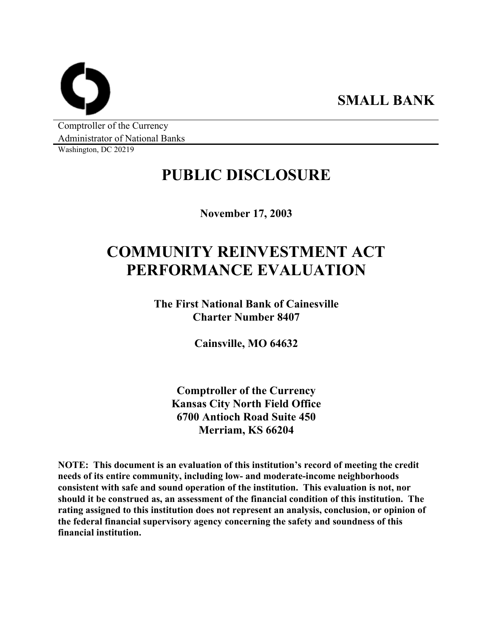**SMALL BANK** 

Comptroller of the Currency Administrator of National Banks

Washington, DC 20219

## **PUBLIC DISCLOSURE**

**November 17, 2003** 

# **COMMUNITY REINVESTMENT ACT PERFORMANCE EVALUATION**

**The First National Bank of Cainesville Charter Number 8407** 

**Cainsville, MO 64632** 

**Comptroller of the Currency Kansas City North Field Office 6700 Antioch Road Suite 450 Merriam, KS 66204** 

**NOTE: This document is an evaluation of this institution's record of meeting the credit needs of its entire community, including low- and moderate-income neighborhoods consistent with safe and sound operation of the institution. This evaluation is not, nor should it be construed as, an assessment of the financial condition of this institution. The rating assigned to this institution does not represent an analysis, conclusion, or opinion of the federal financial supervisory agency concerning the safety and soundness of this financial institution.**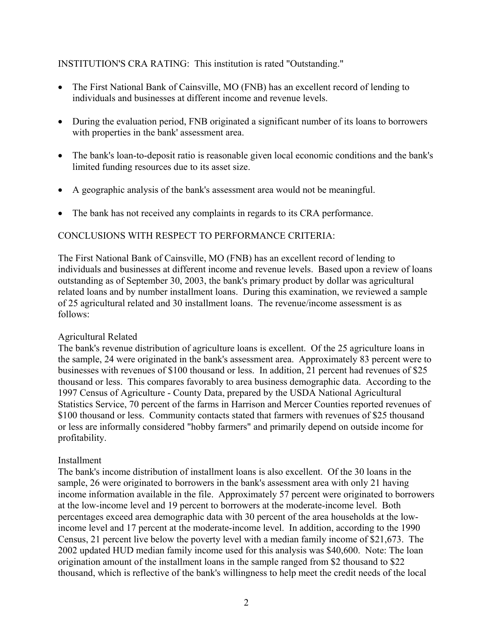INSTITUTION'S CRA RATING: This institution is rated "Outstanding."

- The First National Bank of Cainsville, MO (FNB) has an excellent record of lending to individuals and businesses at different income and revenue levels.
- During the evaluation period, FNB originated a significant number of its loans to borrowers with properties in the bank' assessment area.
- The bank's loan-to-deposit ratio is reasonable given local economic conditions and the bank's limited funding resources due to its asset size.
- A geographic analysis of the bank's assessment area would not be meaningful.
- The bank has not received any complaints in regards to its CRA performance.

### CONCLUSIONS WITH RESPECT TO PERFORMANCE CRITERIA:

The First National Bank of Cainsville, MO (FNB) has an excellent record of lending to individuals and businesses at different income and revenue levels. Based upon a review of loans outstanding as of September 30, 2003, the bank's primary product by dollar was agricultural related loans and by number installment loans. During this examination, we reviewed a sample of 25 agricultural related and 30 installment loans. The revenue/income assessment is as follows:

#### Agricultural Related

The bank's revenue distribution of agriculture loans is excellent. Of the 25 agriculture loans in the sample, 24 were originated in the bank's assessment area. Approximately 83 percent were to businesses with revenues of \$100 thousand or less. In addition, 21 percent had revenues of \$25 thousand or less. This compares favorably to area business demographic data. According to the 1997 Census of Agriculture - County Data, prepared by the USDA National Agricultural Statistics Service, 70 percent of the farms in Harrison and Mercer Counties reported revenues of \$100 thousand or less. Community contacts stated that farmers with revenues of \$25 thousand or less are informally considered "hobby farmers" and primarily depend on outside income for profitability.

#### Installment

The bank's income distribution of installment loans is also excellent. Of the 30 loans in the sample, 26 were originated to borrowers in the bank's assessment area with only 21 having income information available in the file. Approximately 57 percent were originated to borrowers at the low-income level and 19 percent to borrowers at the moderate-income level. Both percentages exceed area demographic data with 30 percent of the area households at the lowincome level and 17 percent at the moderate-income level. In addition, according to the 1990 Census, 21 percent live below the poverty level with a median family income of \$21,673. The 2002 updated HUD median family income used for this analysis was \$40,600. Note: The loan origination amount of the installment loans in the sample ranged from \$2 thousand to \$22 thousand, which is reflective of the bank's willingness to help meet the credit needs of the local